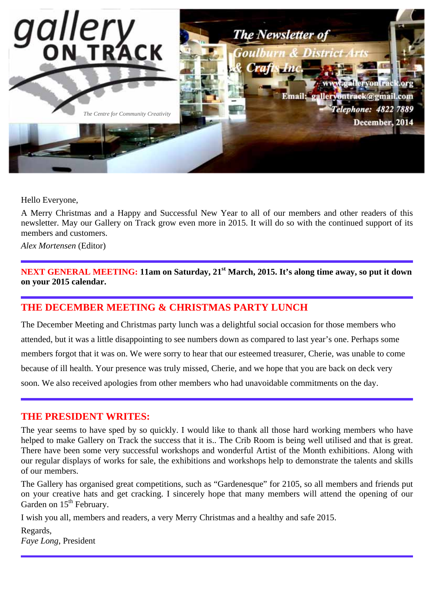

Hello Everyone,

A Merry Christmas and a Happy and Successful New Year to all of our members and other readers of this newsletter. May our Gallery on Track grow even more in 2015. It will do so with the continued support of its members and customers.

*Alex Mortensen* (Editor)

**NEXT GENERAL MEETING: 11am on Saturday, 21st March, 2015. It's along time away, so put it down on your 2015 calendar.**

## **THE DECEMBER MEETING & CHRISTMAS PARTY LUNCH**

The December Meeting and Christmas party lunch was a delightful social occasion for those members who attended, but it was a little disappointing to see numbers down as compared to last year's one. Perhaps some members forgot that it was on. We were sorry to hear that our esteemed treasurer, Cherie, was unable to come because of ill health. Your presence was truly missed, Cherie, and we hope that you are back on deck very soon. We also received apologies from other members who had unavoidable commitments on the day.

### **THE PRESIDENT WRITES:**

The year seems to have sped by so quickly. I would like to thank all those hard working members who have helped to make Gallery on Track the success that it is.. The Crib Room is being well utilised and that is great. There have been some very successful workshops and wonderful Artist of the Month exhibitions. Along with our regular displays of works for sale, the exhibitions and workshops help to demonstrate the talents and skills of our members.

The Gallery has organised great competitions, such as "Gardenesque" for 2105, so all members and friends put on your creative hats and get cracking. I sincerely hope that many members will attend the opening of our Garden on  $15<sup>th</sup>$  February.

I wish you all, members and readers, a very Merry Christmas and a healthy and safe 2015.

Regards, *Faye Long*, President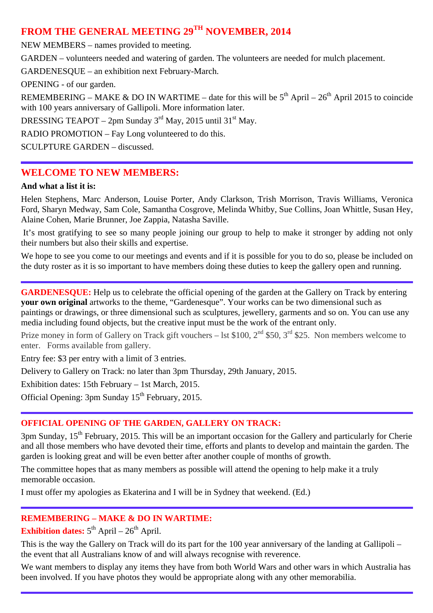# **FROM THE GENERAL MEETING 29TH NOVEMBER, 2014**

NEW MEMBERS – names provided to meeting.

GARDEN – volunteers needed and watering of garden. The volunteers are needed for mulch placement.

GARDENESQUE – an exhibition next February-March.

OPENING - of our garden.

REMEMBERING – MAKE & DO IN WARTIME – date for this will be  $5<sup>th</sup>$  April – 26<sup>th</sup> April 2015 to coincide with 100 years anniversary of Gallipoli. More information later.

DRESSING TEAPOT – 2pm Sunday  $3<sup>rd</sup>$  May, 2015 until 31<sup>st</sup> May.

RADIO PROMOTION – Fay Long volunteered to do this.

SCULPTURE GARDEN – discussed.

### **WELCOME TO NEW MEMBERS:**

#### **And what a list it is:**

Helen Stephens, Marc Anderson, Louise Porter, Andy Clarkson, Trish Morrison, Travis Williams, Veronica Ford, Sharyn Medway, Sam Cole, Samantha Cosgrove, Melinda Whitby, Sue Collins, Joan Whittle, Susan Hey, Alaine Cohen, Marie Brunner, Joe Zappia, Natasha Saville.

It's most gratifying to see so many people joining our group to help to make it stronger by adding not only their numbers but also their skills and expertise.

We hope to see you come to our meetings and events and if it is possible for you to do so, please be included on the duty roster as it is so important to have members doing these duties to keep the gallery open and running.

**GARDENESQUE:** Help us to celebrate the official opening of the garden at the Gallery on Track by entering **your own original** artworks to the theme, "Gardenesque". Your works can be two dimensional such as paintings or drawings, or three dimensional such as sculptures, jewellery, garments and so on. You can use any media including found objects, but the creative input must be the work of the entrant only.

Prize money in form of Gallery on Track gift vouchers – lst \$100, 2<sup>nd</sup> \$50, 3<sup>rd</sup> \$25. Non members welcome to enter. Forms available from gallery.

Entry fee: \$3 per entry with a limit of 3 entries.

Delivery to Gallery on Track: no later than 3pm Thursday, 29th January, 2015.

Exhibition dates: 15th February – 1st March, 2015.

Official Opening: 3pm Sunday  $15<sup>th</sup>$  February, 2015.

### **OFFICIAL OPENING OF THE GARDEN, GALLERY ON TRACK:**

 $3$ pm Sunday,  $15<sup>th</sup>$  February, 2015. This will be an important occasion for the Gallery and particularly for Cherie and all those members who have devoted their time, efforts and plants to develop and maintain the garden. The garden is looking great and will be even better after another couple of months of growth.

The committee hopes that as many members as possible will attend the opening to help make it a truly memorable occasion.

I must offer my apologies as Ekaterina and I will be in Sydney that weekend. (Ed.)

### **REMEMBERING – MAKE & DO IN WARTIME:**

**Exhibition dates:**  $5^{th}$  April –  $26^{th}$  April.

This is the way the Gallery on Track will do its part for the 100 year anniversary of the landing at Gallipoli – the event that all Australians know of and will always recognise with reverence.

We want members to display any items they have from both World Wars and other wars in which Australia has been involved. If you have photos they would be appropriate along with any other memorabilia.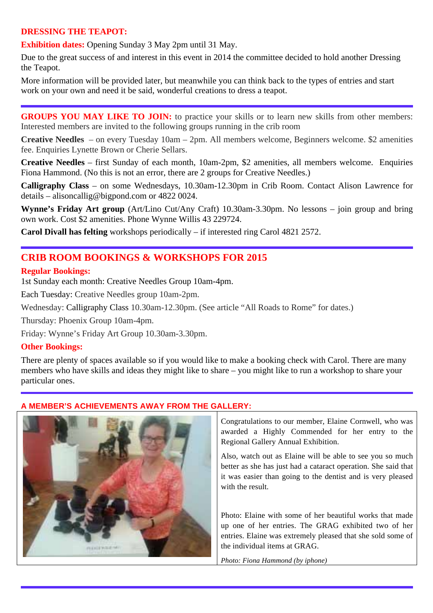### **DRESSING THE TEAPOT:**

**Exhibition dates:** Opening Sunday 3 May 2pm until 31 May.

Due to the great success of and interest in this event in 2014 the committee decided to hold another Dressing the Teapot.

More information will be provided later, but meanwhile you can think back to the types of entries and start work on your own and need it be said, wonderful creations to dress a teapot.

**GROUPS YOU MAY LIKE TO JOIN:** to practice your skills or to learn new skills from other members: Interested members are invited to the following groups running in the crib room

**Creative Needles** – on every Tuesday 10am – 2pm. All members welcome, Beginners welcome. \$2 amenities fee. Enquiries Lynette Brown or Cherie Sellars.

**Creative Needles** – first Sunday of each month, 10am-2pm, \$2 amenities, all members welcome. Enquiries Fiona Hammond. (No this is not an error, there are 2 groups for Creative Needles.)

**Calligraphy Class** – on some Wednesdays, 10.30am-12.30pm in Crib Room. Contact Alison Lawrence for details – alisoncallig@bigpond.com or 4822 0024.

**Wynne's Friday Art group** (Art/Lino Cut/Any Craft) 10.30am-3.30pm. No lessons – join group and bring own work. Cost \$2 amenities. Phone Wynne Willis 43 229724.

**Carol Divall has felting** workshops periodically – if interested ring Carol 4821 2572.

## **CRIB ROOM BOOKINGS & WORKSHOPS FOR 2015**

#### **Regular Bookings:**

1st Sunday each month: Creative Needles Group 10am-4pm.

Each Tuesday: Creative Needles group 10am-2pm.

Wednesday: Calligraphy Class 10.30am-12.30pm. (See article "All Roads to Rome" for dates.)

Thursday: Phoenix Group 10am-4pm.

Friday: Wynne's Friday Art Group 10.30am-3.30pm.

### **Other Bookings:**

There are plenty of spaces available so if you would like to make a booking check with Carol. There are many members who have skills and ideas they might like to share – you might like to run a workshop to share your particular ones.

### **A MEMBER'S ACHIEVEMENTS AWAY FROM THE GALLERY:**



Congratulations to our member, Elaine Cornwell, who was awarded a Highly Commended for her entry to the Regional Gallery Annual Exhibition.

Also, watch out as Elaine will be able to see you so much better as she has just had a cataract operation. She said that it was easier than going to the dentist and is very pleased with the result.

Photo: Elaine with some of her beautiful works that made up one of her entries. The GRAG exhibited two of her entries. Elaine was extremely pleased that she sold some of the individual items at GRAG.

*Photo: Fiona Hammond (by iphone)*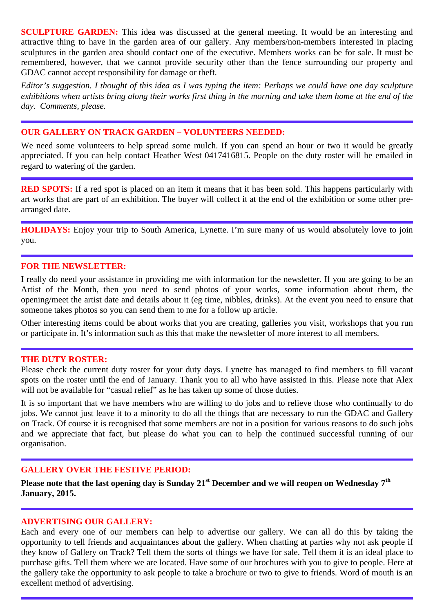**SCULPTURE GARDEN:** This idea was discussed at the general meeting. It would be an interesting and attractive thing to have in the garden area of our gallery. Any members/non-members interested in placing sculptures in the garden area should contact one of the executive. Members works can be for sale. It must be remembered, however, that we cannot provide security other than the fence surrounding our property and GDAC cannot accept responsibility for damage or theft.

*Editor's suggestion. I thought of this idea as I was typing the item: Perhaps we could have one day sculpture exhibitions when artists bring along their works first thing in the morning and take them home at the end of the day. Comments, please.* 

### **OUR GALLERY ON TRACK GARDEN – VOLUNTEERS NEEDED:**

We need some volunteers to help spread some mulch. If you can spend an hour or two it would be greatly appreciated. If you can help contact Heather West 0417416815. People on the duty roster will be emailed in regard to watering of the garden.

**RED SPOTS:** If a red spot is placed on an item it means that it has been sold. This happens particularly with art works that are part of an exhibition. The buyer will collect it at the end of the exhibition or some other prearranged date.

**HOLIDAYS:** Enjoy your trip to South America, Lynette. I'm sure many of us would absolutely love to join you.

#### **FOR THE NEWSLETTER:**

I really do need your assistance in providing me with information for the newsletter. If you are going to be an Artist of the Month, then you need to send photos of your works, some information about them, the opening/meet the artist date and details about it (eg time, nibbles, drinks). At the event you need to ensure that someone takes photos so you can send them to me for a follow up article.

Other interesting items could be about works that you are creating, galleries you visit, workshops that you run or participate in. It's information such as this that make the newsletter of more interest to all members.

#### **THE DUTY ROSTER:**

Please check the current duty roster for your duty days. Lynette has managed to find members to fill vacant spots on the roster until the end of January. Thank you to all who have assisted in this. Please note that Alex will not be available for "casual relief" as he has taken up some of those duties.

It is so important that we have members who are willing to do jobs and to relieve those who continually to do jobs. We cannot just leave it to a minority to do all the things that are necessary to run the GDAC and Gallery on Track. Of course it is recognised that some members are not in a position for various reasons to do such jobs and we appreciate that fact, but please do what you can to help the continued successful running of our organisation.

#### **GALLERY OVER THE FESTIVE PERIOD:**

**Please note that the last opening day is Sunday 21st December and we will reopen on Wednesday 7th January, 2015.** 

#### **ADVERTISING OUR GALLERY:**

Each and every one of our members can help to advertise our gallery. We can all do this by taking the opportunity to tell friends and acquaintances about the gallery. When chatting at parties why not ask people if they know of Gallery on Track? Tell them the sorts of things we have for sale. Tell them it is an ideal place to purchase gifts. Tell them where we are located. Have some of our brochures with you to give to people. Here at the gallery take the opportunity to ask people to take a brochure or two to give to friends. Word of mouth is an excellent method of advertising.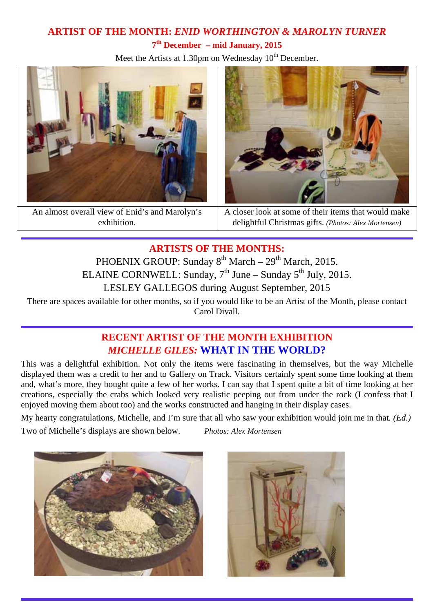# **ARTIST OF THE MONTH:** *ENID WORTHINGTON & MAROLYN TURNER*  **7th December – mid January, 2015**

Meet the Artists at 1.30pm on Wednesday  $10<sup>th</sup>$  December.



An almost overall view of Enid's and Marolyn's exhibition.



A closer look at some of their items that would make delightful Christmas gifts. *(Photos: Alex Mortensen)*

**ARTISTS OF THE MONTHS:** 

PHOENIX GROUP: Sunday  $8^{th}$  March –  $29^{th}$  March, 2015. ELAINE CORNWELL: Sunday,  $7<sup>th</sup>$  June – Sunday  $5<sup>th</sup>$  July, 2015. LESLEY GALLEGOS during August September, 2015

There are spaces available for other months, so if you would like to be an Artist of the Month, please contact Carol Divall.

# **RECENT ARTIST OF THE MONTH EXHIBITION**  *MICHELLE GILES:* **WHAT IN THE WORLD?**

This was a delightful exhibition. Not only the items were fascinating in themselves, but the way Michelle displayed them was a credit to her and to Gallery on Track. Visitors certainly spent some time looking at them and, what's more, they bought quite a few of her works. I can say that I spent quite a bit of time looking at her creations, especially the crabs which looked very realistic peeping out from under the rock (I confess that I enjoyed moving them about too) and the works constructed and hanging in their display cases.

My hearty congratulations, Michelle, and I'm sure that all who saw your exhibition would join me in that*. (Ed.)* 

Two of Michelle's displays are shown below. *Photos: Alex Mortensen*